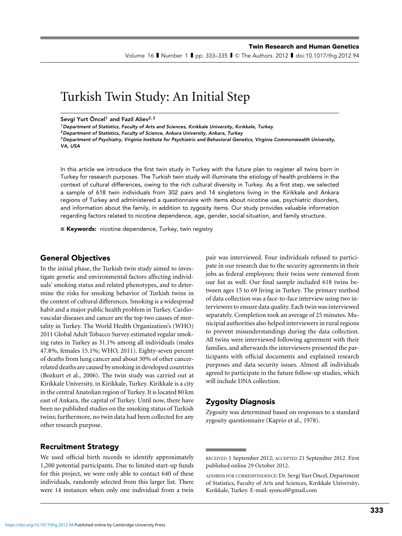Volume 16 II Number 1 II pp. 333–335 II © The Authors 2012 II doi:10.1017/thg.2012.94

# Turkish Twin Study: An Initial Step

Sevgi Yurt Öncel<sup>1</sup> and Fazil Aliev<sup>2,3</sup>

<sup>1</sup> Department of Statistics, Faculty of Arts and Sciences, Kırıkkale University, Kırıkkale, Turkey

<sup>2</sup> Department of Statistics, Faculty of Science, Ankara University, Ankara, Turkey

 $3$ Department of Psychiatry, Virginia Institute for Psychiatric and Behavioral Genetics, Virginia Commonwealth University, VA, USA

In this article we introduce the first twin study in Turkey with the future plan to register all twins born in Turkey for research purposes. The Turkish twin study will illuminate the etiology of health problems in the context of cultural differences, owing to the rich cultural diversity in Turkey. As a first step, we selected a sample of 618 twin individuals from 302 pairs and 14 singletons living in the Kirikkale and Ankara regions of Turkey and administered a questionnaire with items about nicotine use, psychiatric disorders, and information about the family, in addition to zygosity items. Our study provides valuable information regarding factors related to nicotine dependence, age, gender, social situation, and family structure.

■ Keywords: nicotine dependence, Turkey, twin registry

#### General Objectives

In the initial phase, the Turkish twin study aimed to investigate genetic and environmental factors affecting individuals' smoking status and related phenotypes, and to determine the risks for smoking behavior of Turkish twins in the context of cultural differences. Smoking is a widespread habit and a major public health problem in Turkey. Cardiovascular diseases and cancer are the top two causes of mortality in Turkey. The World Health Organization's (WHO) 2011 Global Adult Tobacco Survey estimated regular smoking rates in Turkey as 31.1% among all individuals (males 47.8%, females 15.1%; WHO, 2011). Eighty-seven percent of deaths from lung cancer and about 30% of other cancerrelated deaths are caused by smoking in developed countries (Bozkurt et al., 2006). The twin study was carried out at Kirikkale University, in Kirikkale, Turkey. Kirikkale is a city in the central Anatolian region of Turkey. It is located 80 km east of Ankara, the capital of Turkey. Until now, there have been no published studies on the smoking status of Turkish twins; furthermore, no twin data had been collected for any other research purpose.

Recruitment Strategy

We used official birth records to identify approximately 1,200 potential participants. Due to limited start-up funds for this project, we were only able to contact 640 of these individuals, randomly selected from this larger list. There were 14 instances when only one individual from a twin

pair was interviewed. Four individuals refused to participate in our research due to the security agreements in their jobs as federal employees; their twins were removed from our list as well. Our final sample included 618 twins between ages 15 to 69 living in Turkey. The primary method of data collection was a face-to-face interview using two interviewers to ensure data quality. Each twin was interviewed separately. Completion took an average of 25 minutes. Municipial authorities also helped interviewers in rural regions to prevent misunderstandings during the data collection. All twins were interviewed following agreement with their families, and afterwards the interviewers presented the participants with official documents and explained research purposes and data security issues. Almost all individuals agreed to participate in the future follow-up studies, which will include DNA collection.

### Zygosity Diagnosis

Zygosity was determined based on responses to a standard zygosity questionnaire (Kaprio et al., 1978).

RECEIVED 1 September 2012; ACCEPTED 21 September 2012. First published online 29 October 2012.

ADDRESS FOR CORRESPONDENCE: Dr. Sevgi Yurt Öncel, Department of Statistics, Faculty of Arts and Sciences, Kırıkkale University, Kırıkkale, Turkey. E-mail: syoncel@gmail.com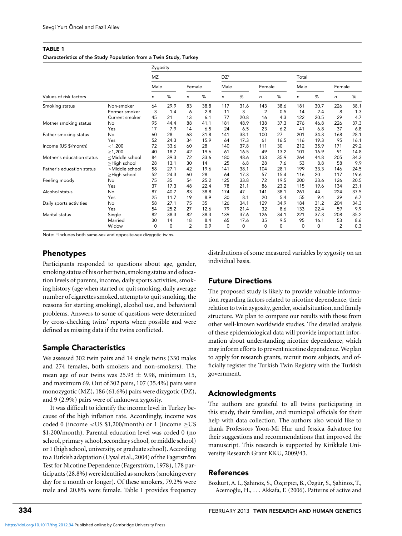#### TABLE 1 Characteristics of the Study Population from a Twin Study, Turkey

|                           |                                                                                                                                                                                        | Zygosity    |      |        |      |                 |          |                |          |          |          |                |      |
|---------------------------|----------------------------------------------------------------------------------------------------------------------------------------------------------------------------------------|-------------|------|--------|------|-----------------|----------|----------------|----------|----------|----------|----------------|------|
|                           |                                                                                                                                                                                        | MZ          |      |        |      | DZ <sup>*</sup> |          |                |          | Total    |          |                |      |
| Values of risk factors    |                                                                                                                                                                                        | Male        |      | Female |      | Male            |          | Female         |          | Male     |          | Female         |      |
|                           |                                                                                                                                                                                        | n           | %    | n      | %    | n               | %        | n              | %        | n        | %        | n              | $\%$ |
| Smoking status            | Non-smoker                                                                                                                                                                             | 64          | 29.9 | 83     | 38.8 | 117             | 31.6     | 143            | 38.6     | 181      | 30.7     | 226            | 38.1 |
|                           | Former smoker                                                                                                                                                                          | 3           | 1.4  | 6      | 2.8  | 11              | 3        | $\overline{2}$ | 0.5      | 14       | 2.4      | 8              | 1.3  |
|                           | Current smoker                                                                                                                                                                         | 45          | 21   | 13     | 6.1  | 77              | 20.8     | 16             | 4.3      | 122      | 20.5     | 29             | 4.7  |
| Mother smoking status     | No                                                                                                                                                                                     | 95          | 44.4 | 88     | 41.1 | 181             | 48.9     | 138            | 37.3     | 276      | 46.8     | 226            | 37.3 |
|                           | Yes                                                                                                                                                                                    | 17          | 7.9  | 14     | 6.5  | 24              | 6.5      | 23             | 6.2      | 41       | 6.8      | 37             | 6.8  |
| Father smoking status     | No                                                                                                                                                                                     | 60          | 28   | 68     | 31.8 | 141             | 38.1     | 100            | 27       | 201      | 34.3     | 168            | 28.1 |
|                           | Yes                                                                                                                                                                                    | 52          | 24.3 | 34     | 15.9 | 64              | 17.3     | 61             | 16.5     | 116      | 19.3     | 95             | 16.1 |
| Income (US \$/month)      | < 1,200                                                                                                                                                                                | 72          | 33.6 | 60     | 28   | 140             | 37.8     | 111            | 30       | 212      | 35.9     | 171            | 29.2 |
|                           | >1,200                                                                                                                                                                                 | 40          | 18.7 | 42     | 19.6 | 61              | 16.5     | 49             | 13.2     | 101      | 16.9     | 91             | 14.8 |
| Mother's education status | <middle school<="" td=""><td>84</td><td>39.3</td><td>72</td><td>33.6</td><td>180</td><td>48.6</td><td>133</td><td>35.9</td><td>264</td><td>44.8</td><td>205</td><td>34.3</td></middle> | 84          | 39.3 | 72     | 33.6 | 180             | 48.6     | 133            | 35.9     | 264      | 44.8     | 205            | 34.3 |
|                           | ≥High school                                                                                                                                                                           | 28          | 13.1 | 30     | 14   | 25              | 6.8      | 28             | 7.6      | 53       | 8.8      | 58             | 9.9  |
| Father's education status | <middle school<="" td=""><td>58</td><td>27.1</td><td>42</td><td>19.6</td><td>141</td><td>38.1</td><td>104</td><td>28.1</td><td>199</td><td>33.3</td><td>146</td><td>24.5</td></middle> | 58          | 27.1 | 42     | 19.6 | 141             | 38.1     | 104            | 28.1     | 199      | 33.3     | 146            | 24.5 |
|                           | ≥High school                                                                                                                                                                           | 52          | 24.3 | 60     | 28   | 64              | 17.3     | 57             | 15.4     | 116      | 20       | 117            | 19.6 |
| Feeling moody             | No                                                                                                                                                                                     | 75          | 35   | 54     | 25.2 | 125             | 33.8     | 72             | 19.5     | 200      | 33.6     | 126            | 20.5 |
|                           | Yes                                                                                                                                                                                    | 37          | 17.3 | 48     | 22.4 | 78              | 21.1     | 86             | 23.2     | 115      | 19.6     | 134            | 23.1 |
| Alcohol status            | No                                                                                                                                                                                     | 87          | 40.7 | 83     | 38.8 | 174             | 47       | 141            | 38.1     | 261      | 44       | 224            | 37.5 |
|                           | Yes                                                                                                                                                                                    | 25          | 11.7 | 19     | 8.9  | 30              | 8.1      | 20             | 5.4      | 55       | 9.4      | 39             | 6.7  |
| Daily sports activities   | No                                                                                                                                                                                     | 58          | 27.1 | 75     | 35   | 126             | 34.1     | 129            | 34.9     | 184      | 31.2     | 204            | 34.3 |
|                           | Yes                                                                                                                                                                                    | 54          | 25.2 | 27     | 12.6 | 79              | 21.4     | 32             | 8.6      | 133      | 22.4     | 59             | 9.9  |
| Marital status            | Single                                                                                                                                                                                 | 82          | 38.3 | 82     | 38.3 | 139             | 37.6     | 126            | 34.1     | 221      | 37.3     | 208            | 35.2 |
|                           | Married                                                                                                                                                                                | 30          | 14   | 18     | 8.4  | 65              | 17.6     | 35             | 9.5      | 95       | 16.1     | 53             | 8.6  |
|                           | Widow                                                                                                                                                                                  | $\mathbf 0$ | 0    | 2      | 0.9  | 0               | $\Omega$ | 0              | $\Omega$ | $\Omega$ | $\Omega$ | $\overline{2}$ | 0.3  |

Note: <sup>∗</sup>Includes both same-sex and opposite-sex dizygotic twins.

# Phenotypes

Participants responded to questions about age, gender, smoking status of his or her twin, smoking status and education levels of parents, income, daily sports activities, smoking history (age when started or quit smoking, daily average number of cigarettes smoked, attempts to quit smoking, the reasons for starting smoking), alcohol use, and behavioral problems. Answers to some of questions were determined by cross-checking twins' reports when possible and were defined as missing data if the twins conflicted.

## Sample Characteristics

We assessed 302 twin pairs and 14 single twins (330 males and 274 females, both smokers and non-smokers). The mean age of our twins was  $25.93 \pm 9.98$ , minimum 15, and maximum 69. Out of 302 pairs, 107 (35.4%) pairs were monozygotic (MZ), 186 (61.6%) pairs were dizygotic (DZ), and 9 (2.9%) pairs were of unknown zygosity.

It was difficult to identify the income level in Turkey because of the high inflation rate. Accordingly, income was coded 0 (income  $\langle$  US \$1,200/month) or 1 (income  $\geq$  US \$1,200/month). Parental education level was coded 0 (no school, primary school, secondary school, or middle school) or 1 (high school, university, or graduate school). According to a Turkish adaptation (Uysal et al., 2004) of the Fagerström Test for Nicotine Dependence (Fagerström, 1978), 178 participants (28.8%) were identified as smokers (smoking every day for a month or longer). Of these smokers, 79.2% were male and 20.8% were female. Table 1 provides frequency distributions of some measured variables by zygosity on an individual basis.

### Future Directions

The proposed study is likely to provide valuable information regarding factors related to nicotine dependence, their relation to twin zygosity, gender, social situation, and family structure. We plan to compare our results with those from other well-known worldwide studies. The detailed analysis of these epidemiological data will provide important information about understanding nicotine dependence, which may inform efforts to prevent nicotine dependence. We plan to apply for research grants, recruit more subjects, and officially register the Turkish Twin Registry with the Turkish government.

### **Acknowledaments**

The authors are grateful to all twins participating in this study, their families, and municipal officials for their help with data collection. The authors also would like to thank Professors Yoon-Mi Hur and Jessica Salvatore for their suggestions and recommendations that improved the manuscript. This research is supported by Kirikkale University Research Grant KKU, 2009/43.

### References

Bozkurt, A. I., Şahinöz, S., Özçırpıcı, B., Özgür, S., Şahinöz, T., Acemoğlu, H., ... Akkafa, F. (2006). Patterns of active and